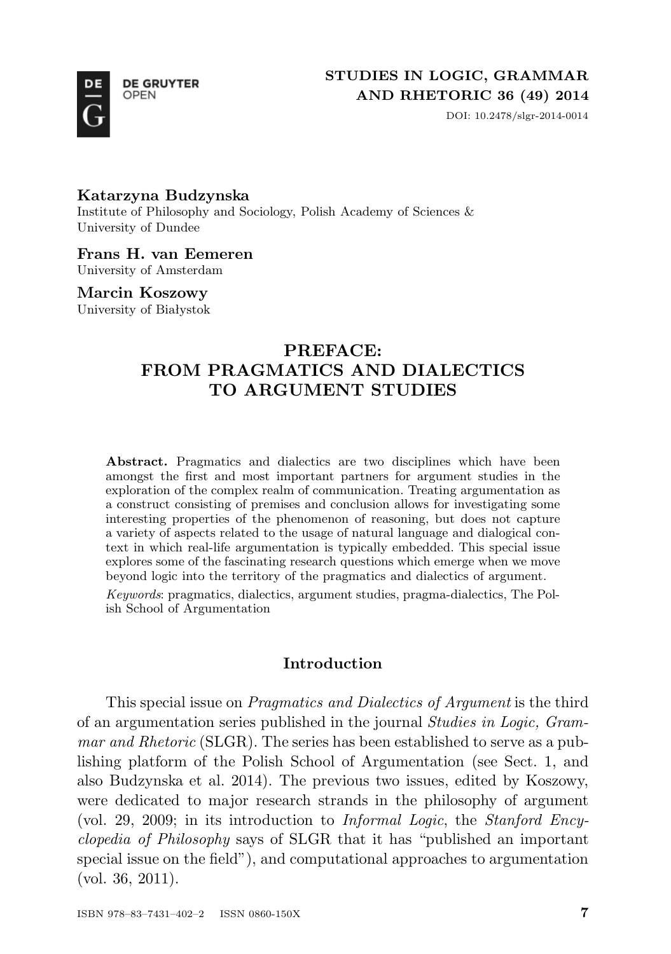DOI: 10.2478/slgr-2014-0014

# **Katarzyna Budzynska**

Institute of Philosophy and Sociology, Polish Academy of Sciences & University of Dundee

# **Frans H. van Eemeren**

University of Amsterdam

# **Marcin Koszowy**

University of Białystok

# **PREFACE: FROM PRAGMATICS AND DIALECTICS TO ARGUMENT STUDIES**

**Abstract.** Pragmatics and dialectics are two disciplines which have been amongst the first and most important partners for argument studies in the exploration of the complex realm of communication. Treating argumentation as a construct consisting of premises and conclusion allows for investigating some interesting properties of the phenomenon of reasoning, but does not capture a variety of aspects related to the usage of natural language and dialogical context in which real-life argumentation is typically embedded. This special issue explores some of the fascinating research questions which emerge when we move beyond logic into the territory of the pragmatics and dialectics of argument.

*Keywords*: pragmatics, dialectics, argument studies, pragma-dialectics, The Polish School of Argumentation

# **Introduction**

This special issue on *Pragmatics and Dialectics of Argument* is the third of an argumentation series published in the journal *Studies in Logic, Grammar and Rhetoric* (SLGR). The series has been established to serve as a publishing platform of the Polish School of Argumentation (see Sect. 1, and also Budzynska et al. 2014). The previous two issues, edited by Koszowy, were dedicated to major research strands in the philosophy of argument (vol. 29, 2009; in its introduction to *Informal Logic*, the *Stanford Encyclopedia of Philosophy* says of SLGR that it has "published an important special issue on the field"), and computational approaches to argumentation (vol. 36, 2011).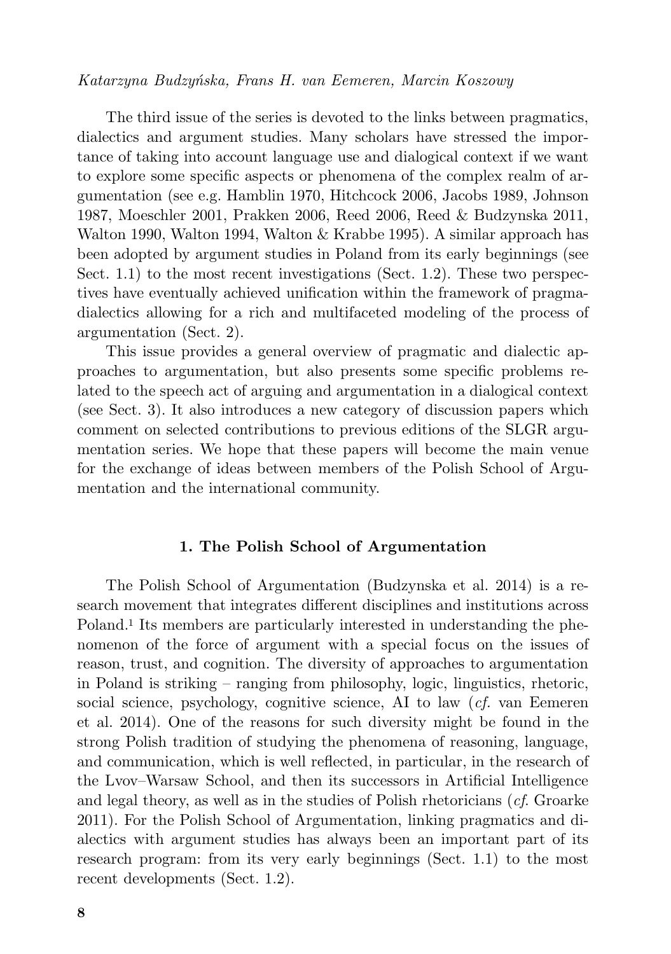The third issue of the series is devoted to the links between pragmatics, dialectics and argument studies. Many scholars have stressed the importance of taking into account language use and dialogical context if we want to explore some specific aspects or phenomena of the complex realm of argumentation (see e.g. Hamblin 1970, Hitchcock 2006, Jacobs 1989, Johnson 1987, Moeschler 2001, Prakken 2006, Reed 2006, Reed & Budzynska 2011, Walton 1990, Walton 1994, Walton & Krabbe 1995). A similar approach has been adopted by argument studies in Poland from its early beginnings (see Sect. 1.1) to the most recent investigations (Sect. 1.2). These two perspectives have eventually achieved unification within the framework of pragmadialectics allowing for a rich and multifaceted modeling of the process of argumentation (Sect. 2).

This issue provides a general overview of pragmatic and dialectic approaches to argumentation, but also presents some specific problems related to the speech act of arguing and argumentation in a dialogical context (see Sect. 3). It also introduces a new category of discussion papers which comment on selected contributions to previous editions of the SLGR argumentation series. We hope that these papers will become the main venue for the exchange of ideas between members of the Polish School of Argumentation and the international community.

#### **1. The Polish School of Argumentation**

The Polish School of Argumentation (Budzynska et al. 2014) is a research movement that integrates different disciplines and institutions across Poland.<sup>1</sup> Its members are particularly interested in understanding the phenomenon of the force of argument with a special focus on the issues of reason, trust, and cognition. The diversity of approaches to argumentation in Poland is striking – ranging from philosophy, logic, linguistics, rhetoric, social science, psychology, cognitive science, AI to law (*cf.* van Eemeren et al. 2014). One of the reasons for such diversity might be found in the strong Polish tradition of studying the phenomena of reasoning, language, and communication, which is well reflected, in particular, in the research of the Lvov–Warsaw School, and then its successors in Artificial Intelligence and legal theory, as well as in the studies of Polish rhetoricians (*cf*. Groarke 2011). For the Polish School of Argumentation, linking pragmatics and dialectics with argument studies has always been an important part of its research program: from its very early beginnings (Sect. 1.1) to the most recent developments (Sect. 1.2).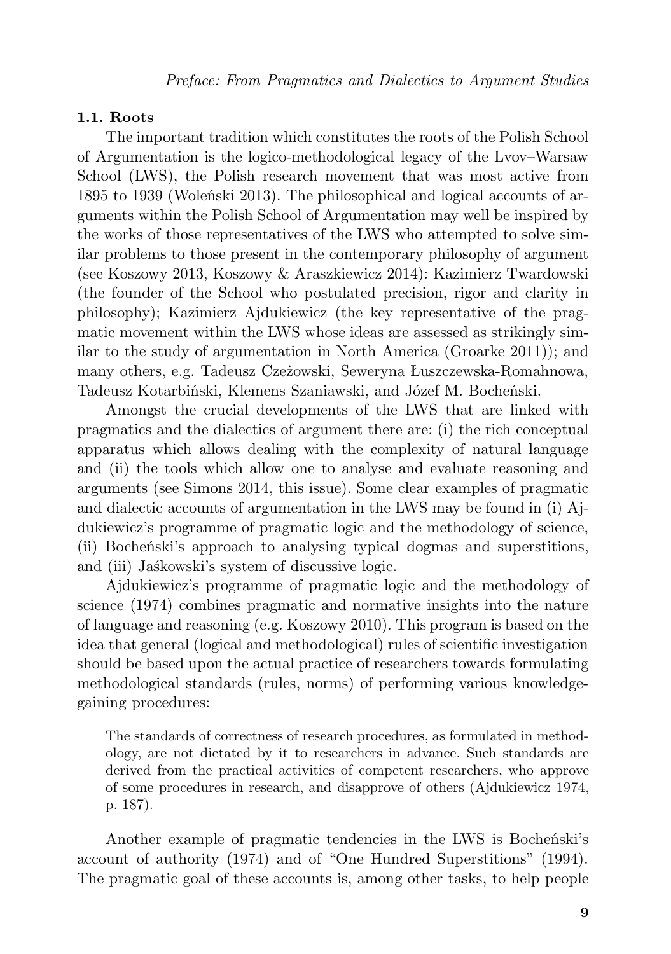## **1.1. Roots**

The important tradition which constitutes the roots of the Polish School of Argumentation is the logico-methodological legacy of the Lvov–Warsaw School (LWS), the Polish research movement that was most active from 1895 to 1939 (Woleński 2013). The philosophical and logical accounts of arguments within the Polish School of Argumentation may well be inspired by the works of those representatives of the LWS who attempted to solve similar problems to those present in the contemporary philosophy of argument (see Koszowy 2013, Koszowy & Araszkiewicz 2014): Kazimierz Twardowski (the founder of the School who postulated precision, rigor and clarity in philosophy); Kazimierz Ajdukiewicz (the key representative of the pragmatic movement within the LWS whose ideas are assessed as strikingly similar to the study of argumentation in North America (Groarke 2011)); and many others, e.g. Tadeusz Czeżowski, Seweryna Łuszczewska-Romahnowa, Tadeusz Kotarbiński, Klemens Szaniawski, and Józef M. Bocheński.

Amongst the crucial developments of the LWS that are linked with pragmatics and the dialectics of argument there are: (i) the rich conceptual apparatus which allows dealing with the complexity of natural language and (ii) the tools which allow one to analyse and evaluate reasoning and arguments (see Simons 2014, this issue). Some clear examples of pragmatic and dialectic accounts of argumentation in the LWS may be found in (i) Ajdukiewicz's programme of pragmatic logic and the methodology of science, (ii) Bocheński's approach to analysing typical dogmas and superstitions, and (iii) Jaśkowski's system of discussive logic.

Ajdukiewicz's programme of pragmatic logic and the methodology of science (1974) combines pragmatic and normative insights into the nature of language and reasoning (e.g. Koszowy 2010). This program is based on the idea that general (logical and methodological) rules of scientific investigation should be based upon the actual practice of researchers towards formulating methodological standards (rules, norms) of performing various knowledgegaining procedures:

The standards of correctness of research procedures, as formulated in methodology, are not dictated by it to researchers in advance. Such standards are derived from the practical activities of competent researchers, who approve of some procedures in research, and disapprove of others (Ajdukiewicz 1974, p. 187).

Another example of pragmatic tendencies in the LWS is Bocheński's account of authority (1974) and of "One Hundred Superstitions" (1994). The pragmatic goal of these accounts is, among other tasks, to help people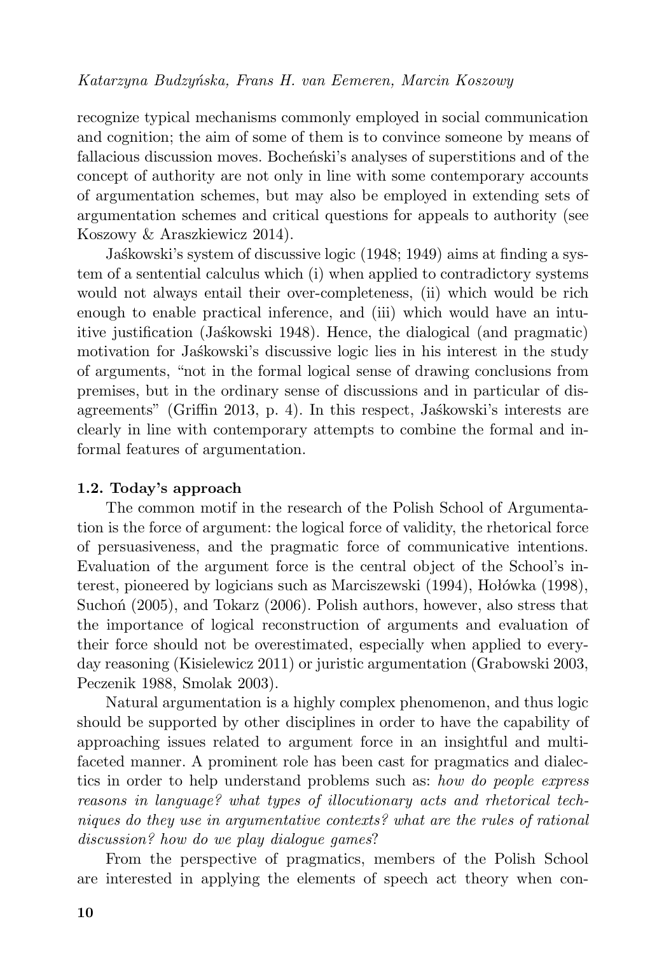recognize typical mechanisms commonly employed in social communication and cognition; the aim of some of them is to convince someone by means of fallacious discussion moves. Bocheński's analyses of superstitions and of the concept of authority are not only in line with some contemporary accounts of argumentation schemes, but may also be employed in extending sets of argumentation schemes and critical questions for appeals to authority (see Koszowy & Araszkiewicz 2014).

Jaśkowski's system of discussive logic (1948; 1949) aims at finding a system of a sentential calculus which (i) when applied to contradictory systems would not always entail their over-completeness, (ii) which would be rich enough to enable practical inference, and (iii) which would have an intuitive justification (Jaśkowski 1948). Hence, the dialogical (and pragmatic) motivation for Jaśkowski's discussive logic lies in his interest in the study of arguments, "not in the formal logical sense of drawing conclusions from premises, but in the ordinary sense of discussions and in particular of disagreements" (Griffin 2013, p. 4). In this respect, Jaśkowski's interests are clearly in line with contemporary attempts to combine the formal and informal features of argumentation.

#### **1.2. Today's approach**

The common motif in the research of the Polish School of Argumentation is the force of argument: the logical force of validity, the rhetorical force of persuasiveness, and the pragmatic force of communicative intentions. Evaluation of the argument force is the central object of the School's interest, pioneered by logicians such as Marciszewski (1994), Hołówka (1998), Suchoń (2005), and Tokarz (2006). Polish authors, however, also stress that the importance of logical reconstruction of arguments and evaluation of their force should not be overestimated, especially when applied to everyday reasoning (Kisielewicz 2011) or juristic argumentation (Grabowski 2003, Peczenik 1988, Smolak 2003).

Natural argumentation is a highly complex phenomenon, and thus logic should be supported by other disciplines in order to have the capability of approaching issues related to argument force in an insightful and multifaceted manner. A prominent role has been cast for pragmatics and dialectics in order to help understand problems such as: *how do people express reasons in language? what types of illocutionary acts and rhetorical techniques do they use in argumentative contexts? what are the rules of rational discussion? how do we play dialogue games*?

From the perspective of pragmatics, members of the Polish School are interested in applying the elements of speech act theory when con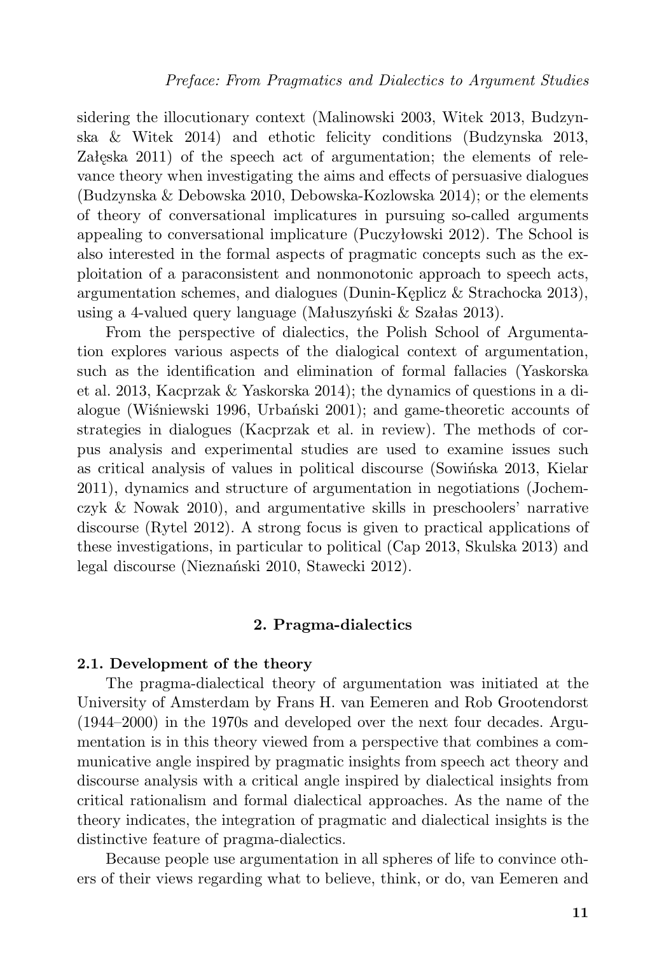sidering the illocutionary context (Malinowski 2003, Witek 2013, Budzynska & Witek 2014) and ethotic felicity conditions (Budzynska 2013, Załęska 2011) of the speech act of argumentation; the elements of relevance theory when investigating the aims and effects of persuasive dialogues (Budzynska & Debowska 2010, Debowska-Kozlowska 2014); or the elements of theory of conversational implicatures in pursuing so-called arguments appealing to conversational implicature (Puczyłowski 2012). The School is also interested in the formal aspects of pragmatic concepts such as the exploitation of a paraconsistent and nonmonotonic approach to speech acts, argumentation schemes, and dialogues (Dunin-Kęplicz & Strachocka 2013), using a 4-valued query language (Małuszyński & Szałas 2013).

From the perspective of dialectics, the Polish School of Argumentation explores various aspects of the dialogical context of argumentation, such as the identification and elimination of formal fallacies (Yaskorska et al. 2013, Kacprzak & Yaskorska 2014); the dynamics of questions in a dialogue (Wiśniewski 1996, Urbański 2001); and game-theoretic accounts of strategies in dialogues (Kacprzak et al. in review). The methods of corpus analysis and experimental studies are used to examine issues such as critical analysis of values in political discourse (Sowińska 2013, Kielar 2011), dynamics and structure of argumentation in negotiations (Jochemczyk & Nowak 2010), and argumentative skills in preschoolers' narrative discourse (Rytel 2012). A strong focus is given to practical applications of these investigations, in particular to political (Cap 2013, Skulska 2013) and legal discourse (Nieznański 2010, Stawecki 2012).

# **2. Pragma-dialectics**

#### **2.1. Development of the theory**

The pragma-dialectical theory of argumentation was initiated at the University of Amsterdam by Frans H. van Eemeren and Rob Grootendorst (1944–2000) in the 1970s and developed over the next four decades. Argumentation is in this theory viewed from a perspective that combines a communicative angle inspired by pragmatic insights from speech act theory and discourse analysis with a critical angle inspired by dialectical insights from critical rationalism and formal dialectical approaches. As the name of the theory indicates, the integration of pragmatic and dialectical insights is the distinctive feature of pragma-dialectics.

Because people use argumentation in all spheres of life to convince others of their views regarding what to believe, think, or do, van Eemeren and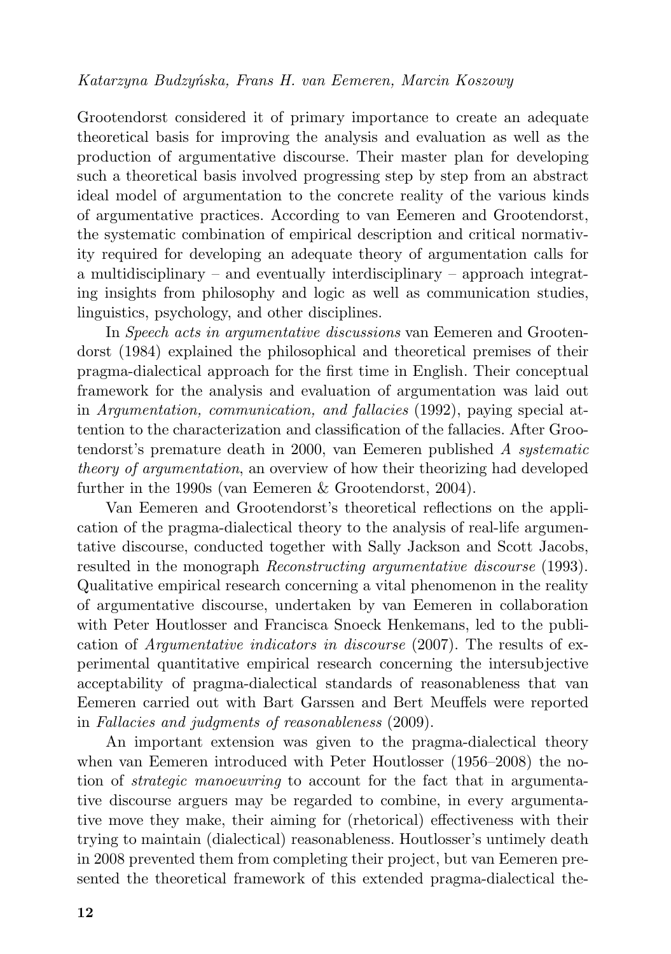Grootendorst considered it of primary importance to create an adequate theoretical basis for improving the analysis and evaluation as well as the production of argumentative discourse. Their master plan for developing such a theoretical basis involved progressing step by step from an abstract ideal model of argumentation to the concrete reality of the various kinds of argumentative practices. According to van Eemeren and Grootendorst, the systematic combination of empirical description and critical normativity required for developing an adequate theory of argumentation calls for a multidisciplinary – and eventually interdisciplinary – approach integrating insights from philosophy and logic as well as communication studies, linguistics, psychology, and other disciplines.

In *Speech acts in argumentative discussions* van Eemeren and Grootendorst (1984) explained the philosophical and theoretical premises of their pragma-dialectical approach for the first time in English. Their conceptual framework for the analysis and evaluation of argumentation was laid out in *Argumentation, communication, and fallacies* (1992), paying special attention to the characterization and classification of the fallacies. After Grootendorst's premature death in 2000, van Eemeren published *A systematic theory of argumentation*, an overview of how their theorizing had developed further in the 1990s (van Eemeren & Grootendorst, 2004).

Van Eemeren and Grootendorst's theoretical reflections on the application of the pragma-dialectical theory to the analysis of real-life argumentative discourse, conducted together with Sally Jackson and Scott Jacobs, resulted in the monograph *Reconstructing argumentative discourse* (1993). Qualitative empirical research concerning a vital phenomenon in the reality of argumentative discourse, undertaken by van Eemeren in collaboration with Peter Houtlosser and Francisca Snoeck Henkemans, led to the publication of *Argumentative indicators in discourse* (2007). The results of experimental quantitative empirical research concerning the intersubjective acceptability of pragma-dialectical standards of reasonableness that van Eemeren carried out with Bart Garssen and Bert Meuffels were reported in *Fallacies and judgments of reasonableness* (2009).

An important extension was given to the pragma-dialectical theory when van Eemeren introduced with Peter Houtlosser (1956–2008) the notion of *strategic manoeuvring* to account for the fact that in argumentative discourse arguers may be regarded to combine, in every argumentative move they make, their aiming for (rhetorical) effectiveness with their trying to maintain (dialectical) reasonableness. Houtlosser's untimely death in 2008 prevented them from completing their project, but van Eemeren presented the theoretical framework of this extended pragma-dialectical the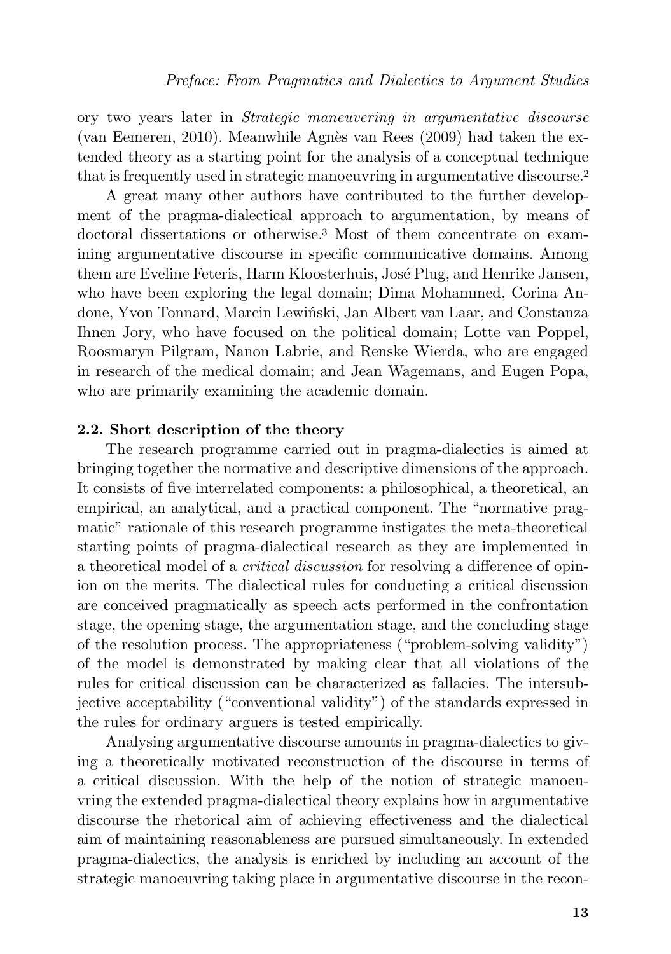ory two years later in *Strategic maneuvering in argumentative discourse* (van Eemeren, 2010). Meanwhile Agn`es van Rees (2009) had taken the extended theory as a starting point for the analysis of a conceptual technique that is frequently used in strategic manoeuvring in argumentative discourse.<sup>2</sup>

A great many other authors have contributed to the further development of the pragma-dialectical approach to argumentation, by means of doctoral dissertations or otherwise.<sup>3</sup> Most of them concentrate on examining argumentative discourse in specific communicative domains. Among them are Eveline Feteris, Harm Kloosterhuis, José Plug, and Henrike Jansen, who have been exploring the legal domain; Dima Mohammed, Corina Andone, Yvon Tonnard, Marcin Lewiński, Jan Albert van Laar, and Constanza Ihnen Jory, who have focused on the political domain; Lotte van Poppel, Roosmaryn Pilgram, Nanon Labrie, and Renske Wierda, who are engaged in research of the medical domain; and Jean Wagemans, and Eugen Popa, who are primarily examining the academic domain.

### **2.2. Short description of the theory**

The research programme carried out in pragma-dialectics is aimed at bringing together the normative and descriptive dimensions of the approach. It consists of five interrelated components: a philosophical, a theoretical, an empirical, an analytical, and a practical component. The "normative pragmatic" rationale of this research programme instigates the meta-theoretical starting points of pragma-dialectical research as they are implemented in a theoretical model of a *critical discussion* for resolving a difference of opinion on the merits. The dialectical rules for conducting a critical discussion are conceived pragmatically as speech acts performed in the confrontation stage, the opening stage, the argumentation stage, and the concluding stage of the resolution process. The appropriateness ("problem-solving validity") of the model is demonstrated by making clear that all violations of the rules for critical discussion can be characterized as fallacies. The intersubjective acceptability ("conventional validity") of the standards expressed in the rules for ordinary arguers is tested empirically.

Analysing argumentative discourse amounts in pragma-dialectics to giving a theoretically motivated reconstruction of the discourse in terms of a critical discussion. With the help of the notion of strategic manoeuvring the extended pragma-dialectical theory explains how in argumentative discourse the rhetorical aim of achieving effectiveness and the dialectical aim of maintaining reasonableness are pursued simultaneously. In extended pragma-dialectics, the analysis is enriched by including an account of the strategic manoeuvring taking place in argumentative discourse in the recon-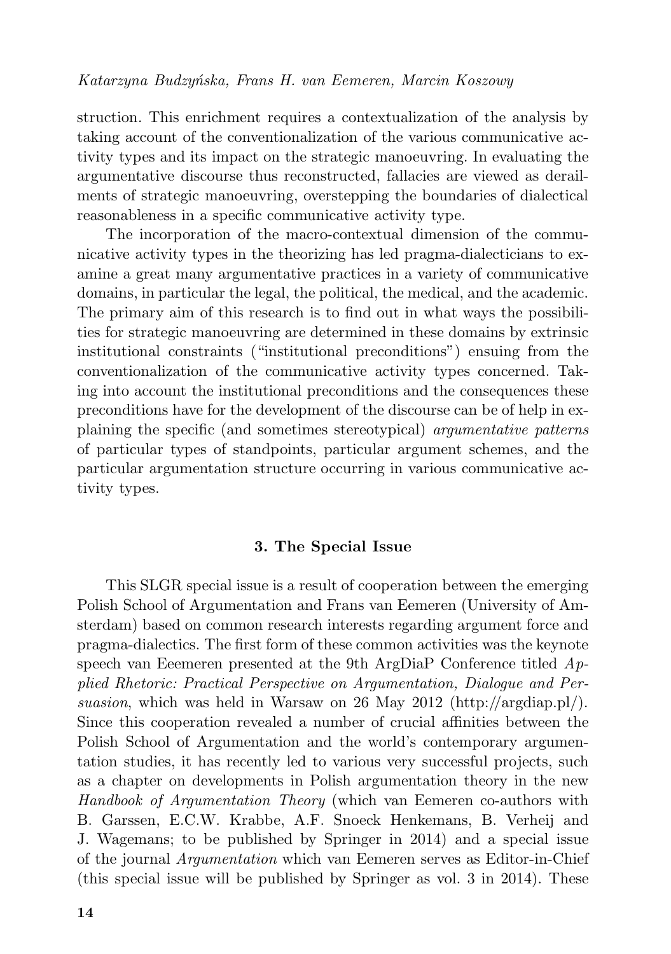struction. This enrichment requires a contextualization of the analysis by taking account of the conventionalization of the various communicative activity types and its impact on the strategic manoeuvring. In evaluating the argumentative discourse thus reconstructed, fallacies are viewed as derailments of strategic manoeuvring, overstepping the boundaries of dialectical reasonableness in a specific communicative activity type.

The incorporation of the macro-contextual dimension of the communicative activity types in the theorizing has led pragma-dialecticians to examine a great many argumentative practices in a variety of communicative domains, in particular the legal, the political, the medical, and the academic. The primary aim of this research is to find out in what ways the possibilities for strategic manoeuvring are determined in these domains by extrinsic institutional constraints ("institutional preconditions") ensuing from the conventionalization of the communicative activity types concerned. Taking into account the institutional preconditions and the consequences these preconditions have for the development of the discourse can be of help in explaining the specific (and sometimes stereotypical) *argumentative patterns* of particular types of standpoints, particular argument schemes, and the particular argumentation structure occurring in various communicative activity types.

# **3. The Special Issue**

This SLGR special issue is a result of cooperation between the emerging Polish School of Argumentation and Frans van Eemeren (University of Amsterdam) based on common research interests regarding argument force and pragma-dialectics. The first form of these common activities was the keynote speech van Eeemeren presented at the 9th ArgDiaP Conference titled *Applied Rhetoric: Practical Perspective on Argumentation, Dialogue and Persuasion*, which was held in Warsaw on 26 May 2012 (http://argdiap.pl/). Since this cooperation revealed a number of crucial affinities between the Polish School of Argumentation and the world's contemporary argumentation studies, it has recently led to various very successful projects, such as a chapter on developments in Polish argumentation theory in the new *Handbook of Argumentation Theory* (which van Eemeren co-authors with B. Garssen, E.C.W. Krabbe, A.F. Snoeck Henkemans, B. Verheij and J. Wagemans; to be published by Springer in 2014) and a special issue of the journal *Argumentation* which van Eemeren serves as Editor-in-Chief (this special issue will be published by Springer as vol. 3 in 2014). These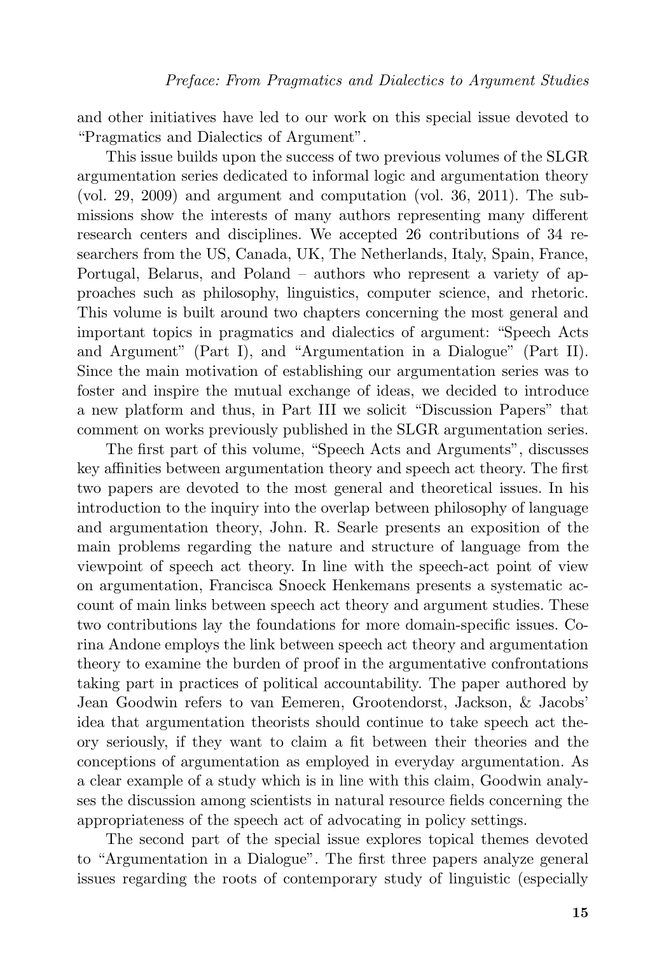and other initiatives have led to our work on this special issue devoted to "Pragmatics and Dialectics of Argument".

This issue builds upon the success of two previous volumes of the SLGR argumentation series dedicated to informal logic and argumentation theory (vol. 29, 2009) and argument and computation (vol. 36, 2011). The submissions show the interests of many authors representing many different research centers and disciplines. We accepted 26 contributions of 34 researchers from the US, Canada, UK, The Netherlands, Italy, Spain, France, Portugal, Belarus, and Poland – authors who represent a variety of approaches such as philosophy, linguistics, computer science, and rhetoric. This volume is built around two chapters concerning the most general and important topics in pragmatics and dialectics of argument: "Speech Acts and Argument" (Part I), and "Argumentation in a Dialogue" (Part II). Since the main motivation of establishing our argumentation series was to foster and inspire the mutual exchange of ideas, we decided to introduce a new platform and thus, in Part III we solicit "Discussion Papers" that comment on works previously published in the SLGR argumentation series.

The first part of this volume, "Speech Acts and Arguments", discusses key affinities between argumentation theory and speech act theory. The first two papers are devoted to the most general and theoretical issues. In his introduction to the inquiry into the overlap between philosophy of language and argumentation theory, John. R. Searle presents an exposition of the main problems regarding the nature and structure of language from the viewpoint of speech act theory. In line with the speech-act point of view on argumentation, Francisca Snoeck Henkemans presents a systematic account of main links between speech act theory and argument studies. These two contributions lay the foundations for more domain-specific issues. Corina Andone employs the link between speech act theory and argumentation theory to examine the burden of proof in the argumentative confrontations taking part in practices of political accountability. The paper authored by Jean Goodwin refers to van Eemeren, Grootendorst, Jackson, & Jacobs' idea that argumentation theorists should continue to take speech act theory seriously, if they want to claim a fit between their theories and the conceptions of argumentation as employed in everyday argumentation. As a clear example of a study which is in line with this claim, Goodwin analyses the discussion among scientists in natural resource fields concerning the appropriateness of the speech act of advocating in policy settings.

The second part of the special issue explores topical themes devoted to "Argumentation in a Dialogue". The first three papers analyze general issues regarding the roots of contemporary study of linguistic (especially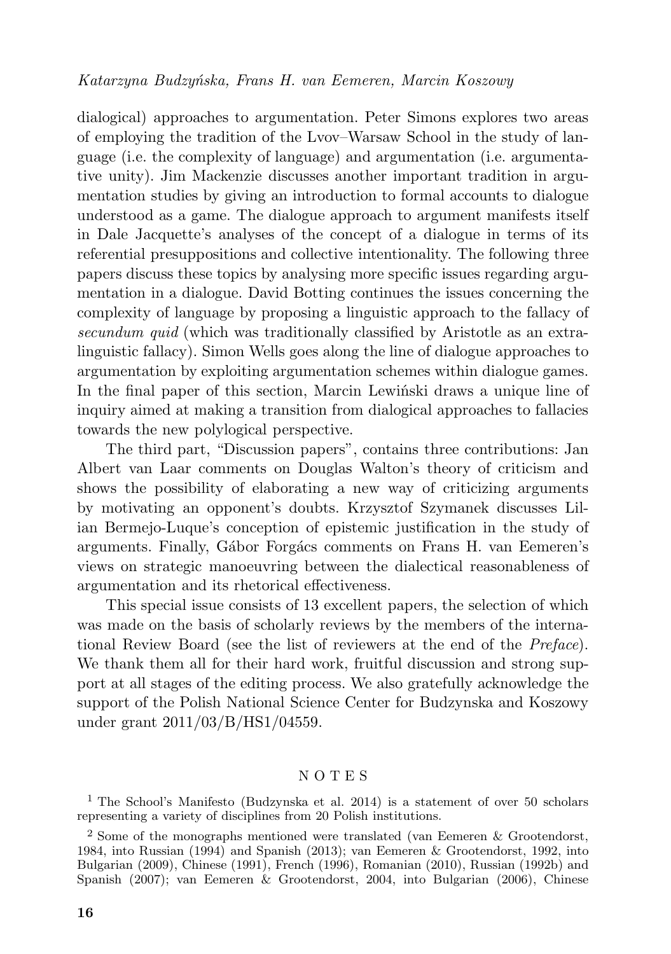dialogical) approaches to argumentation. Peter Simons explores two areas of employing the tradition of the Lvov–Warsaw School in the study of language (i.e. the complexity of language) and argumentation (i.e. argumentative unity). Jim Mackenzie discusses another important tradition in argumentation studies by giving an introduction to formal accounts to dialogue understood as a game. The dialogue approach to argument manifests itself in Dale Jacquette's analyses of the concept of a dialogue in terms of its referential presuppositions and collective intentionality. The following three papers discuss these topics by analysing more specific issues regarding argumentation in a dialogue. David Botting continues the issues concerning the complexity of language by proposing a linguistic approach to the fallacy of *secundum quid* (which was traditionally classified by Aristotle as an extralinguistic fallacy). Simon Wells goes along the line of dialogue approaches to argumentation by exploiting argumentation schemes within dialogue games. In the final paper of this section, Marcin Lewiński draws a unique line of inquiry aimed at making a transition from dialogical approaches to fallacies towards the new polylogical perspective.

The third part, "Discussion papers", contains three contributions: Jan Albert van Laar comments on Douglas Walton's theory of criticism and shows the possibility of elaborating a new way of criticizing arguments by motivating an opponent's doubts. Krzysztof Szymanek discusses Lilian Bermejo-Luque's conception of epistemic justification in the study of arguments. Finally, Gábor Forgács comments on Frans H. van Eemeren's views on strategic manoeuvring between the dialectical reasonableness of argumentation and its rhetorical effectiveness.

This special issue consists of 13 excellent papers, the selection of which was made on the basis of scholarly reviews by the members of the international Review Board (see the list of reviewers at the end of the *Preface*). We thank them all for their hard work, fruitful discussion and strong support at all stages of the editing process. We also gratefully acknowledge the support of the Polish National Science Center for Budzynska and Koszowy under grant 2011/03/B/HS1/04559.

#### N O T E S

<sup>1</sup> The School's Manifesto (Budzynska et al. 2014) is a statement of over 50 scholars representing a variety of disciplines from 20 Polish institutions.

<sup>2</sup> Some of the monographs mentioned were translated (van Eemeren & Grootendorst, 1984, into Russian (1994) and Spanish (2013); van Eemeren & Grootendorst, 1992, into Bulgarian (2009), Chinese (1991), French (1996), Romanian (2010), Russian (1992b) and Spanish (2007); van Eemeren & Grootendorst, 2004, into Bulgarian (2006), Chinese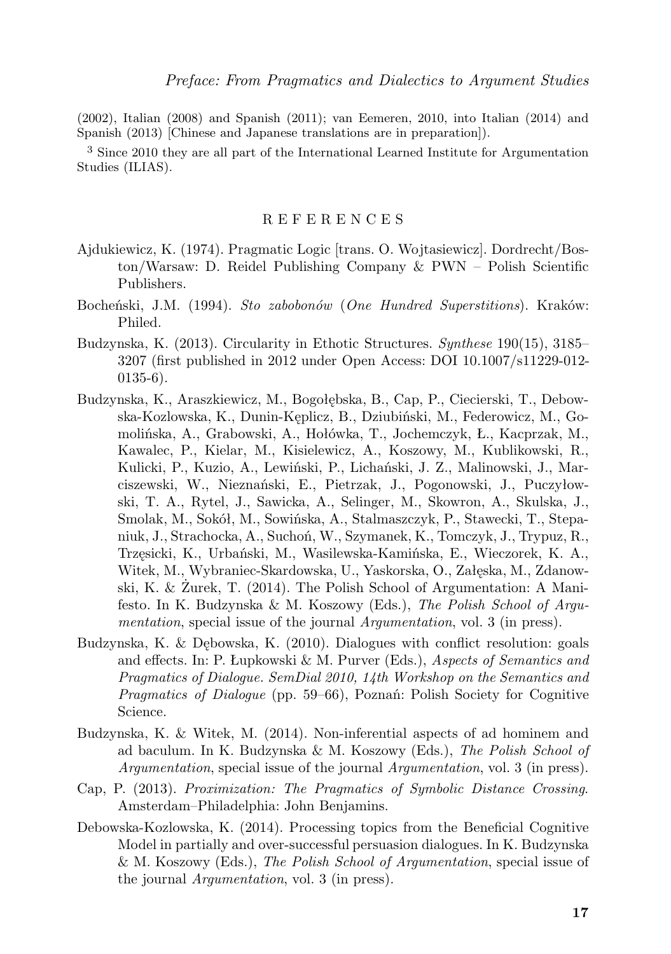(2002), Italian (2008) and Spanish (2011); van Eemeren, 2010, into Italian (2014) and Spanish (2013) [Chinese and Japanese translations are in preparation]).

<sup>3</sup> Since 2010 they are all part of the International Learned Institute for Argumentation Studies (ILIAS).

#### R E F E R E N C E S

- Ajdukiewicz, K. (1974). Pragmatic Logic [trans. O. Wojtasiewicz]. Dordrecht/Boston/Warsaw: D. Reidel Publishing Company & PWN – Polish Scientific Publishers.
- Bocheński, J.M. (1994). *Sto zabobonów* (*One Hundred Superstitions*). Kraków: Philed.
- Budzynska, K. (2013). Circularity in Ethotic Structures. *Synthese* 190(15), 3185– 3207 (first published in 2012 under Open Access: DOI 10.1007/s11229-012-  $(0135-6)$ .
- Budzynska, K., Araszkiewicz, M., Bogołębska, B., Cap, P., Ciecierski, T., Debowska-Kozlowska, K., Dunin-Kęplicz, B., Dziubiński, M., Federowicz, M., Gomolińska, A., Grabowski, A., Hołówka, T., Jochemczyk, Ł., Kacprzak, M., Kawalec, P., Kielar, M., Kisielewicz, A., Koszowy, M., Kublikowski, R., Kulicki, P., Kuzio, A., Lewiński, P., Lichański, J. Z., Malinowski, J., Marciszewski, W., Nieznański, E., Pietrzak, J., Pogonowski, J., Puczyłowski, T. A., Rytel, J., Sawicka, A., Selinger, M., Skowron, A., Skulska, J., Smolak, M., Sokół, M., Sowińska, A., Stalmaszczyk, P., Stawecki, T., Stepaniuk, J., Strachocka, A., Suchoń, W., Szymanek, K., Tomczyk, J., Trypuz, R., Trzęsicki, K., Urbański, M., Wasilewska-Kamińska, E., Wieczorek, K. A., Witek, M., Wybraniec-Skardowska, U., Yaskorska, O., Załęska, M., Zdanowski, K. & Żurek, T. (2014). The Polish School of Argumentation: A Manifesto. In K. Budzynska & M. Koszowy (Eds.), *The Polish School of Argumentation*, special issue of the journal *Argumentation*, vol. 3 (in press).
- Budzynska, K. & Dębowska, K. (2010). Dialogues with conflict resolution: goals and effects. In: P. Łupkowski & M. Purver (Eds.), *Aspects of Semantics and Pragmatics of Dialogue. SemDial 2010, 14th Workshop on the Semantics and Pragmatics of Dialogue* (pp. 59–66), Poznań: Polish Society for Cognitive Science.
- Budzynska, K. & Witek, M. (2014). Non-inferential aspects of ad hominem and ad baculum. In K. Budzynska & M. Koszowy (Eds.), *The Polish School of Argumentation*, special issue of the journal *Argumentation*, vol. 3 (in press).
- Cap, P. (2013). *Proximization: The Pragmatics of Symbolic Distance Crossing*. Amsterdam–Philadelphia: John Benjamins.
- Debowska-Kozlowska, K. (2014). Processing topics from the Beneficial Cognitive Model in partially and over-successful persuasion dialogues. In K. Budzynska & M. Koszowy (Eds.), *The Polish School of Argumentation*, special issue of the journal *Argumentation*, vol. 3 (in press).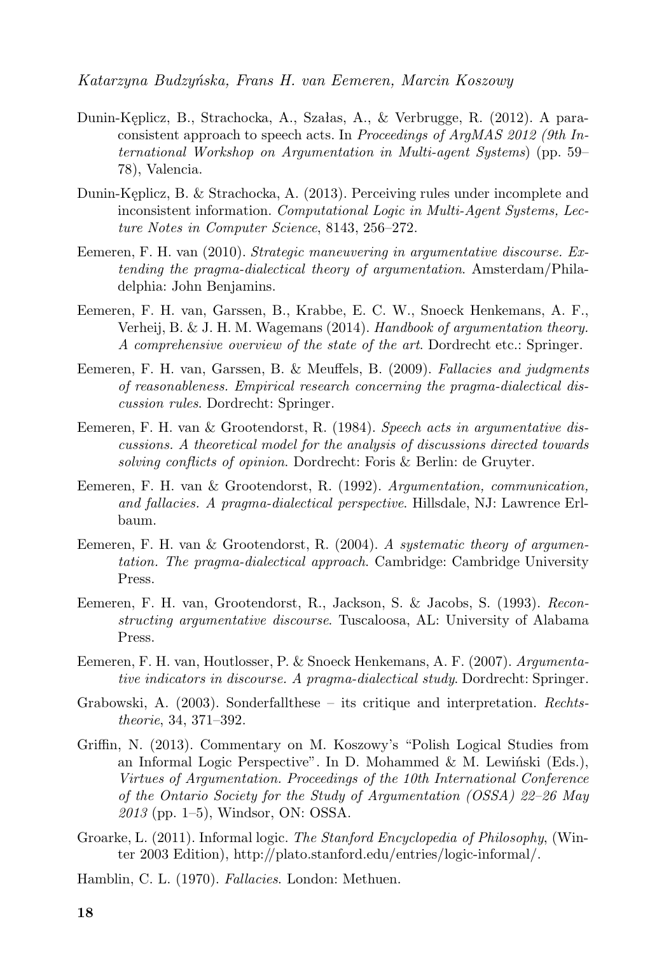- Dunin-Kęplicz, B., Strachocka, A., Szałas, A., & Verbrugge, R. (2012). A paraconsistent approach to speech acts. In *Proceedings of ArgMAS 2012 (9th International Workshop on Argumentation in Multi-agent Systems*) (pp. 59– 78), Valencia.
- Dunin-Kęplicz, B. & Strachocka, A. (2013). Perceiving rules under incomplete and inconsistent information. *Computational Logic in Multi-Agent Systems, Lecture Notes in Computer Science*, 8143, 256–272.
- Eemeren, F. H. van (2010). *Strategic maneuvering in argumentative discourse. Extending the pragma-dialectical theory of argumentation*. Amsterdam/Philadelphia: John Benjamins.
- Eemeren, F. H. van, Garssen, B., Krabbe, E. C. W., Snoeck Henkemans, A. F., Verheij, B. & J. H. M. Wagemans (2014). *Handbook of argumentation theory. A comprehensive overview of the state of the art*. Dordrecht etc.: Springer.
- Eemeren, F. H. van, Garssen, B. & Meuffels, B. (2009). *Fallacies and judgments of reasonableness. Empirical research concerning the pragma-dialectical discussion rules*. Dordrecht: Springer.
- Eemeren, F. H. van & Grootendorst, R. (1984). *Speech acts in argumentative discussions. A theoretical model for the analysis of discussions directed towards solving conflicts of opinion*. Dordrecht: Foris & Berlin: de Gruyter.
- Eemeren, F. H. van & Grootendorst, R. (1992). *Argumentation, communication, and fallacies. A pragma-dialectical perspective*. Hillsdale, NJ: Lawrence Erlbaum.
- Eemeren, F. H. van & Grootendorst, R. (2004). *A systematic theory of argumentation. The pragma-dialectical approach*. Cambridge: Cambridge University Press.
- Eemeren, F. H. van, Grootendorst, R., Jackson, S. & Jacobs, S. (1993). *Reconstructing argumentative discourse*. Tuscaloosa, AL: University of Alabama Press.
- Eemeren, F. H. van, Houtlosser, P. & Snoeck Henkemans, A. F. (2007). *Argumentative indicators in discourse. A pragma-dialectical study*. Dordrecht: Springer.
- Grabowski, A. (2003). Sonderfallthese its critique and interpretation. *Rechtstheorie*, 34, 371–392.
- Griffin, N. (2013). Commentary on M. Koszowy's "Polish Logical Studies from an Informal Logic Perspective". In D. Mohammed & M. Lewiński (Eds.), *Virtues of Argumentation. Proceedings of the 10th International Conference of the Ontario Society for the Study of Argumentation (OSSA) 22–26 May 2013* (pp. 1–5), Windsor, ON: OSSA.
- Groarke, L. (2011). Informal logic. *The Stanford Encyclopedia of Philosophy*, (Winter 2003 Edition), http://plato.stanford.edu/entries/logic-informal/.
- Hamblin, C. L. (1970). *Fallacies*. London: Methuen.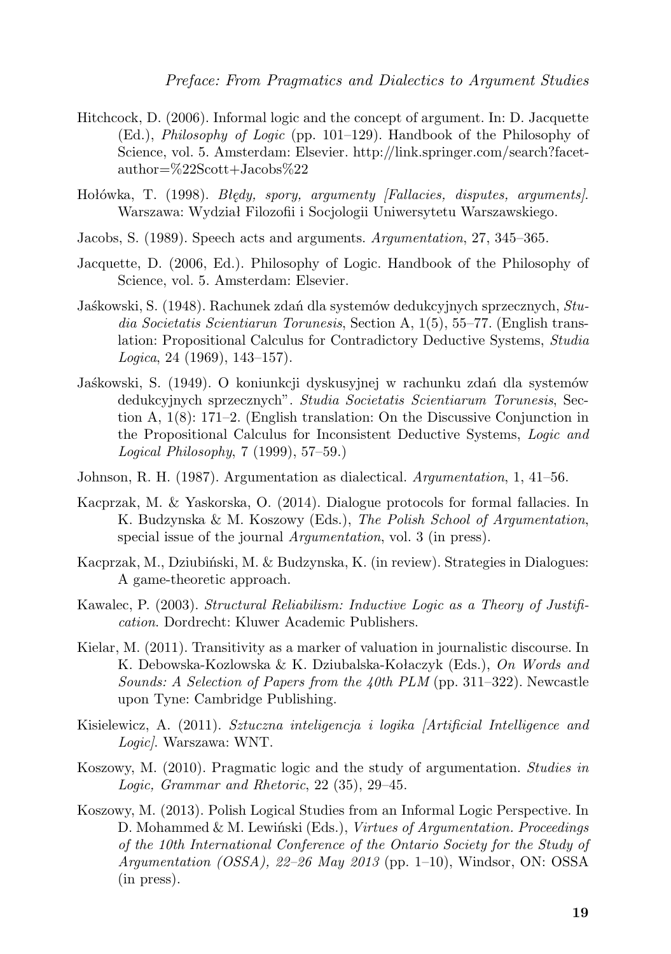- Hitchcock, D. (2006). Informal logic and the concept of argument. In: D. Jacquette (Ed.), *Philosophy of Logic* (pp. 101–129). Handbook of the Philosophy of Science, vol. 5. Amsterdam: Elsevier. http://link.springer.com/search?facetauthor=%22Scott+Jacobs%22
- Hołówka, T. (1998). *Błędy, spory, argumenty [Fallacies, disputes, arguments]*. Warszawa: Wydział Filozofii i Socjologii Uniwersytetu Warszawskiego.
- Jacobs, S. (1989). Speech acts and arguments. *Argumentation*, 27, 345–365.
- Jacquette, D. (2006, Ed.). Philosophy of Logic. Handbook of the Philosophy of Science, vol. 5. Amsterdam: Elsevier.
- Jaśkowski, S. (1948). Rachunek zdań dla systemów dedukcyjnych sprzecznych, *Studia Societatis Scientiarun Torunesis*, Section A, 1(5), 55–77. (English translation: Propositional Calculus for Contradictory Deductive Systems, *Studia Logica*, 24 (1969), 143–157).
- Jaśkowski, S. (1949). O koniunkcji dyskusyjnej w rachunku zdań dla systemów dedukcyjnych sprzecznych". *Studia Societatis Scientiarum Torunesis*, Section A, 1(8): 171–2. (English translation: On the Discussive Conjunction in the Propositional Calculus for Inconsistent Deductive Systems, *Logic and Logical Philosophy*, 7 (1999), 57–59.)
- Johnson, R. H. (1987). Argumentation as dialectical. *Argumentation*, 1, 41–56.
- Kacprzak, M. & Yaskorska, O. (2014). Dialogue protocols for formal fallacies. In K. Budzynska & M. Koszowy (Eds.), *The Polish School of Argumentation*, special issue of the journal *Argumentation*, vol. 3 (in press).
- Kacprzak, M., Dziubiński, M. & Budzynska, K. (in review). Strategies in Dialogues: A game-theoretic approach.
- Kawalec, P. (2003). *Structural Reliabilism: Inductive Logic as a Theory of Justification*. Dordrecht: Kluwer Academic Publishers.
- Kielar, M. (2011). Transitivity as a marker of valuation in journalistic discourse. In K. Debowska-Kozlowska & K. Dziubalska-Kołaczyk (Eds.), *On Words and Sounds: A Selection of Papers from the 40th PLM* (pp. 311–322). Newcastle upon Tyne: Cambridge Publishing.
- Kisielewicz, A. (2011). *Sztuczna inteligencja i logika [Artificial Intelligence and Logic]*. Warszawa: WNT.
- Koszowy, M. (2010). Pragmatic logic and the study of argumentation. *Studies in Logic, Grammar and Rhetoric*, 22 (35), 29–45.
- Koszowy, M. (2013). Polish Logical Studies from an Informal Logic Perspective. In D. Mohammed & M. Lewiński (Eds.), *Virtues of Argumentation. Proceedings of the 10th International Conference of the Ontario Society for the Study of Argumentation (OSSA), 22–26 May 2013* (pp. 1–10), Windsor, ON: OSSA (in press).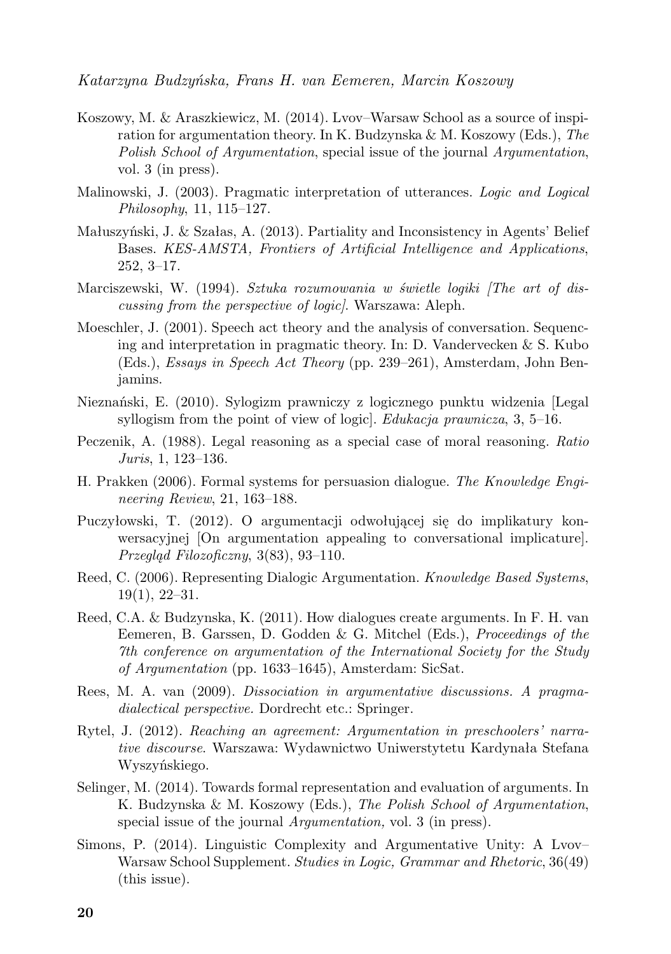- Koszowy, M. & Araszkiewicz, M. (2014). Lvov–Warsaw School as a source of inspiration for argumentation theory. In K. Budzynska & M. Koszowy (Eds.), *The Polish School of Argumentation*, special issue of the journal *Argumentation*, vol. 3 (in press).
- Malinowski, J. (2003). Pragmatic interpretation of utterances. *Logic and Logical Philosophy*, 11, 115–127.
- Małuszyński, J. & Szałas, A. (2013). Partiality and Inconsistency in Agents' Belief Bases. *KES-AMSTA, Frontiers of Artificial Intelligence and Applications*, 252, 3–17.
- Marciszewski, W. (1994). *Sztuka rozumowania w świetle logiki [The art of discussing from the perspective of logic]*. Warszawa: Aleph.
- Moeschler, J. (2001). Speech act theory and the analysis of conversation. Sequencing and interpretation in pragmatic theory. In: D. Vandervecken & S. Kubo (Eds.), *Essays in Speech Act Theory* (pp. 239–261), Amsterdam, John Benjamins.
- Nieznański, E. (2010). Sylogizm prawniczy z logicznego punktu widzenia [Legal syllogism from the point of view of logic]. *Edukacja prawnicza*, 3, 5–16.
- Peczenik, A. (1988). Legal reasoning as a special case of moral reasoning. *Ratio Juris*, 1, 123–136.
- H. Prakken (2006). Formal systems for persuasion dialogue. *The Knowledge Engineering Review*, 21, 163–188.
- Puczyłowski, T. (2012). O argumentacji odwołującej się do implikatury konwersacyjnej [On argumentation appealing to conversational implicature]. *Przegląd Filozoficzny*, 3(83), 93–110.
- Reed, C. (2006). Representing Dialogic Argumentation. *Knowledge Based Systems*, 19(1), 22–31.
- Reed, C.A. & Budzynska, K. (2011). How dialogues create arguments. In F. H. van Eemeren, B. Garssen, D. Godden & G. Mitchel (Eds.), *Proceedings of the 7th conference on argumentation of the International Society for the Study of Argumentation* (pp. 1633–1645), Amsterdam: SicSat.
- Rees, M. A. van (2009). *Dissociation in argumentative discussions. A pragmadialectical perspective.* Dordrecht etc.: Springer.
- Rytel, J. (2012). *Reaching an agreement: Argumentation in preschoolers' narrative discourse*. Warszawa: Wydawnictwo Uniwerstytetu Kardynała Stefana Wyszyńskiego.
- Selinger, M. (2014). Towards formal representation and evaluation of arguments. In K. Budzynska & M. Koszowy (Eds.), *The Polish School of Argumentation*, special issue of the journal *Argumentation,* vol. 3 (in press).
- Simons, P. (2014). Linguistic Complexity and Argumentative Unity: A Lvov– Warsaw School Supplement. *Studies in Logic, Grammar and Rhetoric*, 36(49) (this issue).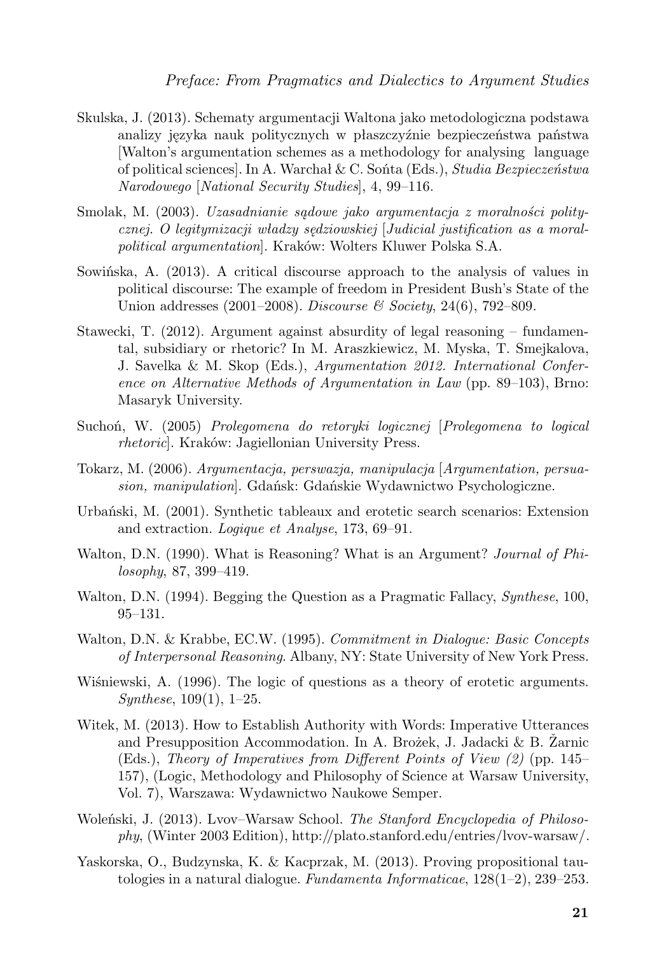- Skulska, J. (2013). Schematy argumentacji Waltona jako metodologiczna podstawa analizy języka nauk politycznych w płaszczyźnie bezpieczeństwa państwa [Walton's argumentation schemes as a methodology for analysing language of political sciences]. In A. Warchał & C. Sońta (Eds.), *Studia Bezpieczeństwa Narodowego* [*National Security Studies*], 4, 99–116.
- Smolak, M. (2003). *Uzasadnianie sądowe jako argumentacja z moralności politycznej. O legitymizacji władzy sędziowskiej* [*Judicial justification as a moralpolitical argumentation*]. Kraków: Wolters Kluwer Polska S.A.
- Sowińska, A. (2013). A critical discourse approach to the analysis of values in political discourse: The example of freedom in President Bush's State of the Union addresses (2001–2008). *Discourse & Society*, 24(6), 792–809.
- Stawecki, T. (2012). Argument against absurdity of legal reasoning fundamental, subsidiary or rhetoric? In M. Araszkiewicz, M. Myska, T. Smejkalova, J. Savelka & M. Skop (Eds.), *Argumentation 2012. International Conference on Alternative Methods of Argumentation in Law* (pp. 89–103), Brno: Masaryk University.
- Suchoń, W. (2005) *Prolegomena do retoryki logicznej* [*Prolegomena to logical rhetoric*]. Kraków: Jagiellonian University Press.
- Tokarz, M. (2006). *Argumentacja, perswazja, manipulacja* [*Argumentation, persuasion, manipulation*]. Gdańsk: Gdańskie Wydawnictwo Psychologiczne.
- Urbański, M. (2001). Synthetic tableaux and erotetic search scenarios: Extension and extraction. *Logique et Analyse*, 173, 69–91.
- Walton, D.N. (1990). What is Reasoning? What is an Argument? *Journal of Philosophy*, 87, 399–419.
- Walton, D.N. (1994). Begging the Question as a Pragmatic Fallacy, *Synthese*, 100, 95–131.
- Walton, D.N. & Krabbe, EC.W. (1995). *Commitment in Dialogue: Basic Concepts of Interpersonal Reasoning*. Albany, NY: State University of New York Press.
- Wiśniewski, A. (1996). The logic of questions as a theory of erotetic arguments. *Synthese*, 109(1), 1–25.
- Witek, M. (2013). How to Establish Authority with Words: Imperative Utterances and Presupposition Accommodation. In A. Brożek, J. Jadacki & B.  $\rm Zarnic$ (Eds.), *Theory of Imperatives from Different Points of View (2)* (pp. 145– 157), (Logic, Methodology and Philosophy of Science at Warsaw University, Vol. 7), Warszawa: Wydawnictwo Naukowe Semper.
- Woleński, J. (2013). Lvov–Warsaw School. *The Stanford Encyclopedia of Philosophy*, (Winter 2003 Edition), http://plato.stanford.edu/entries/lvov-warsaw/.
- Yaskorska, O., Budzynska, K. & Kacprzak, M. (2013). Proving propositional tautologies in a natural dialogue. *Fundamenta Informaticae*, 128(1–2), 239–253.